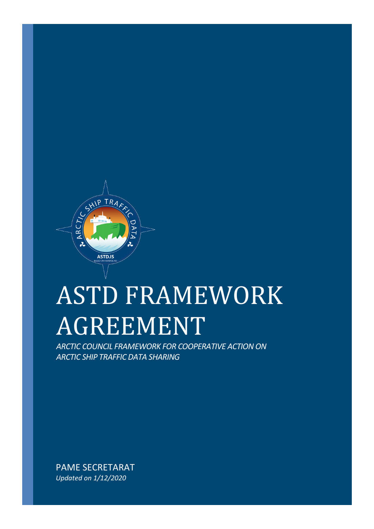

# ASTD FRAMEWORK AGREEMENT

*ARCTIC COUNCIL FRAMEWORK FOR COOPERATIVE ACTION ON ARCTIC SHIP TRAFFIC DATA SHARING*

PAME SECRETARAT *Updated on 1/12/2020*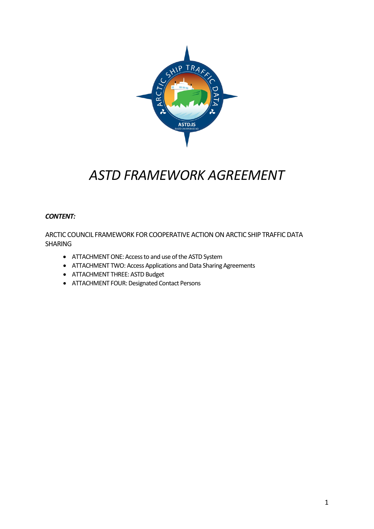

# *ASTD FRAMEWORK AGREEMENT*

#### *CONTENT:*

ARCTIC COUNCIL FRAMEWORK FOR COOPERATIVE ACTION ON ARCTIC SHIP TRAFFIC DATA SHARING

- ATTACHMENT ONE: Access to and use of the ASTD System
- ATTACHMENT TWO: Access Applications and Data Sharing Agreements
- ATTACHMENT THREE: ASTD Budget
- ATTACHMENT FOUR: Designated Contact Persons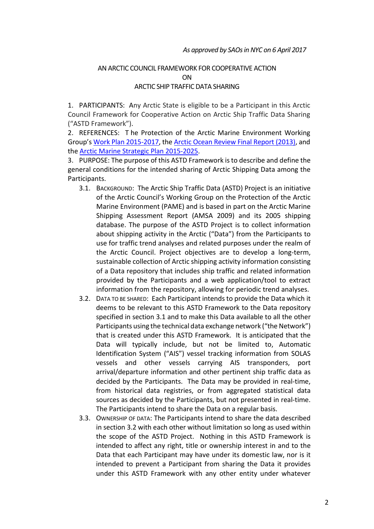#### AN ARCTIC COUNCIL FRAMEWORK FOR COOPERATIVE ACTION ON ARCTIC SHIP TRAFFIC DATA SHARING

1. PARTICIPANTS: Any Arctic State is eligible to be a Participant in this Arctic Council Framework for Cooperative Action on Arctic Ship Traffic Data Sharing ("ASTD Framework").

2. REFERENCES: T he Protection of the Arctic Marine Environment Working Group's [Work Plan 2015-2017,](http://pame.is/images/01_PAME/Work_Plan/PAME%20Work%20Plan%202015-2017.pdf) the [Arctic Ocean Review Final Report \(2013\),](https://oaarchive.arctic-council.org/bitstream/handle/11374/67/AOR%20Final%20report%202013.pdf?sequence=1&isAllowed=y) and the [Arctic Marine Strategic Plan 2015-2025.](https://oaarchive.arctic-council.org/handle/11374/413)

3. PURPOSE: The purpose of this ASTD Framework is to describe and define the general conditions for the intended sharing of Arctic Shipping Data among the Participants.

- 3.1. BACKGROUND: The Arctic Ship Traffic Data (ASTD) Project is an initiative of the Arctic Council's Working Group on the Protection of the Arctic Marine Environment (PAME) and is based in part on the Arctic Marine Shipping Assessment Report (AMSA 2009) and its 2005 shipping database. The purpose of the ASTD Project is to collect information about shipping activity in the Arctic ("Data") from the Participants to use for traffic trend analyses and related purposes under the realm of the Arctic Council. Project objectives are to develop a long-term, sustainable collection of Arctic shipping activity information consisting of a Data repository that includes ship traffic and related information provided by the Participants and a web application/tool to extract information from the repository, allowing for periodic trend analyses.
- 3.2. DATA TO BE SHARED: Each Participant intends to provide the Data which it deems to be relevant to this ASTD Framework to the Data repository specified in section 3.1 and to make this Data available to all the other Participants using the technical data exchange network ("the Network") that is created under this ASTD Framework. It is anticipated that the Data will typically include, but not be limited to, Automatic Identification System ("AIS") vessel tracking information from SOLAS vessels and other vessels carrying AIS transponders, port arrival/departure information and other pertinent ship traffic data as decided by the Participants. The Data may be provided in real-time, from historical data registries, or from aggregated statistical data sources as decided by the Participants, but not presented in real-time. The Participants intend to share the Data on a regular basis.
- 3.3. OWNERSHIP OF DATA: The Participants intend to share the data described in section 3.2 with each other without limitation so long as used within the scope of the ASTD Project. Nothing in this ASTD Framework is intended to affect any right, title or ownership interest in and to the Data that each Participant may have under its domestic law, nor is it intended to prevent a Participant from sharing the Data it provides under this ASTD Framework with any other entity under whatever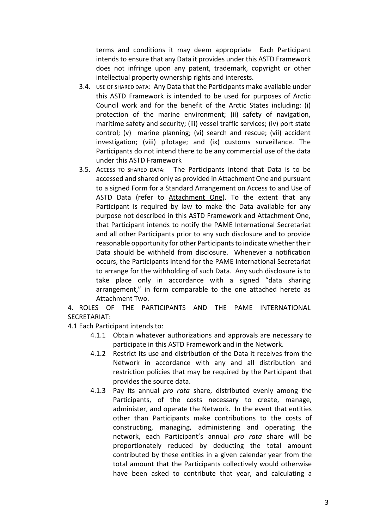terms and conditions it may deem appropriate Each Participant intends to ensure that any Data it provides under this ASTD Framework does not infringe upon any patent, trademark, copyright or other intellectual property ownership rights and interests.

- 3.4. USE OF SHARED DATA: Any Data that the Participants make available under this ASTD Framework is intended to be used for purposes of Arctic Council work and for the benefit of the Arctic States including: (i) protection of the marine environment; (ii) safety of navigation, maritime safety and security; (iii) vessel traffic services; (iv) port state control; (v) marine planning; (vi) search and rescue; (vii) accident investigation; (viii) pilotage; and (ix) customs surveillance. The Participants do not intend there to be any commercial use of the data under this ASTD Framework
- 3.5. ACCESS TO SHARED DATA: The Participants intend that Data is to be accessed and shared only as provided in Attachment One and pursuant to a signed Form for a Standard Arrangement on Access to and Use of ASTD Data (refer to Attachment One). To the extent that any Participant is required by law to make the Data available for any purpose not described in this ASTD Framework and Attachment One, that Participant intends to notify the PAME International Secretariat and all other Participants prior to any such disclosure and to provide reasonable opportunity for other Participants to indicate whether their Data should be withheld from disclosure. Whenever a notification occurs, the Participants intend for the PAME International Secretariat to arrange for the withholding of such Data. Any such disclosure is to take place only in accordance with a signed "data sharing arrangement," in form comparable to the one attached hereto as Attachment Two.

4. ROLES OF THE PARTICIPANTS AND THE PAME INTERNATIONAL SECRETARIAT:

#### 4.1 Each Participant intends to:

- 4.1.1 Obtain whatever authorizations and approvals are necessary to participate in this ASTD Framework and in the Network.
- 4.1.2 Restrict its use and distribution of the Data it receives from the Network in accordance with any and all distribution and restriction policies that may be required by the Participant that provides the source data.
- 4.1.3 Pay its annual *pro rata* share, distributed evenly among the Participants, of the costs necessary to create, manage, administer, and operate the Network. In the event that entities other than Participants make contributions to the costs of constructing, managing, administering and operating the network, each Participant's annual *pro rata* share will be proportionately reduced by deducting the total amount contributed by these entities in a given calendar year from the total amount that the Participants collectively would otherwise have been asked to contribute that year, and calculating a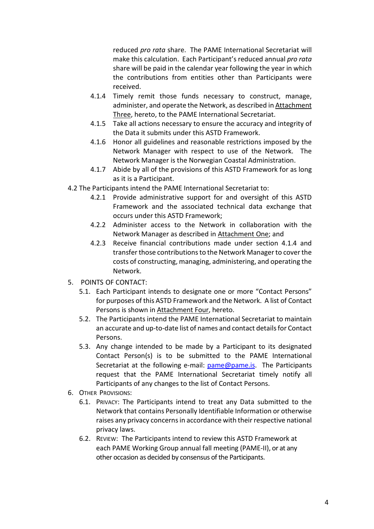reduced *pro rata* share. The PAME International Secretariat will make this calculation. Each Participant's reduced annual *pro rata* share will be paid in the calendar year following the year in which the contributions from entities other than Participants were received.

- 4.1.4 Timely remit those funds necessary to construct, manage, administer, and operate the Network, as described in Attachment Three, hereto, to the PAME International Secretariat.
- 4.1.5 Take all actions necessary to ensure the accuracy and integrity of the Data it submits under this ASTD Framework.
- 4.1.6 Honor all guidelines and reasonable restrictions imposed by the Network Manager with respect to use of the Network. The Network Manager is the Norwegian Coastal Administration.
- 4.1.7 Abide by all of the provisions of this ASTD Framework for as long as it is a Participant.
- 4.2 The Participants intend the PAME International Secretariat to:
	- 4.2.1 Provide administrative support for and oversight of this ASTD Framework and the associated technical data exchange that occurs under this ASTD Framework;
	- 4.2.2 Administer access to the Network in collaboration with the Network Manager as described in Attachment One; and
	- 4.2.3 Receive financial contributions made under section 4.1.4 and transfer those contributions to the Network Manager to cover the costs of constructing, managing, administering, and operating the Network.
- 5. POINTS OF CONTACT:
	- 5.1. Each Participant intends to designate one or more "Contact Persons" for purposes of this ASTD Framework and the Network. A list of Contact Persons is shown in Attachment Four, hereto.
	- 5.2. The Participants intend the PAME International Secretariat to maintain an accurate and up-to-date list of names and contact details for Contact Persons.
	- 5.3. Any change intended to be made by a Participant to its designated Contact Person(s) is to be submitted to the PAME International Secretariat at the following e-mail: [pame@pame.is.](mailto:pame@pame.is) The Participants request that the PAME International Secretariat timely notify all Participants of any changes to the list of Contact Persons.
- 6. OTHER PROVISIONS:
	- 6.1. PRIVACY: The Participants intend to treat any Data submitted to the Network that contains Personally Identifiable Information or otherwise raises any privacy concerns in accordance with their respective national privacy laws.
	- 6.2. REVIEW: The Participants intend to review this ASTD Framework at each PAME Working Group annual fall meeting (PAME-II), or at any other occasion as decided by consensus of the Participants.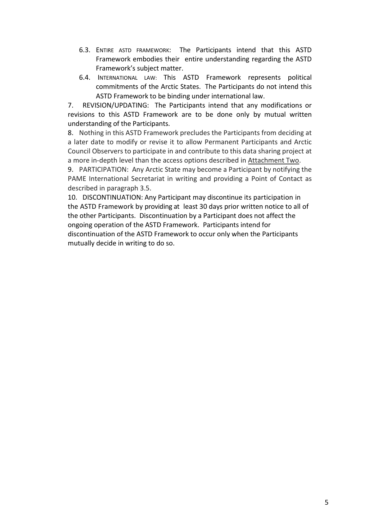- 6.3. ENTIRE ASTD FRAMEWORK: The Participants intend that this ASTD Framework embodies their entire understanding regarding the ASTD Framework's subject matter.
- 6.4. INTERNATIONAL LAW: This ASTD Framework represents political commitments of the Arctic States. The Participants do not intend this ASTD Framework to be binding under international law.

7. REVISION/UPDATING: The Participants intend that any modifications or revisions to this ASTD Framework are to be done only by mutual written understanding of the Participants.

8. Nothing in this ASTD Framework precludes the Participants from deciding at a later date to modify or revise it to allow Permanent Participants and Arctic Council Observers to participate in and contribute to this data sharing project at a more in-depth level than the access options described in Attachment Two.

9. PARTICIPATION: Any Arctic State may become a Participant by notifying the PAME International Secretariat in writing and providing a Point of Contact as described in paragraph 3.5.

10. DISCONTINUATION: Any Participant may discontinue its participation in the ASTD Framework by providing at least 30 days prior written notice to all of the other Participants. Discontinuation by a Participant does not affect the ongoing operation of the ASTD Framework. Participants intend for discontinuation of the ASTD Framework to occur only when the Participants mutually decide in writing to do so.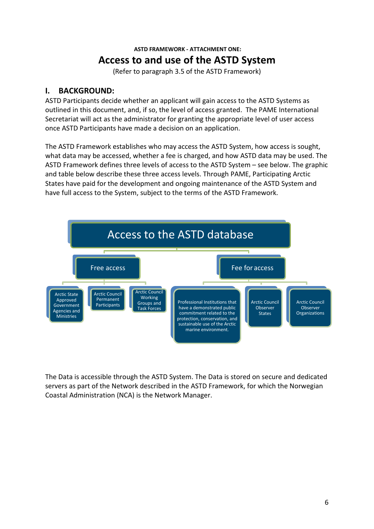## **ASTD FRAMEWORK - ATTACHMENT ONE: Access to and use of the ASTD System**

(Refer to paragraph 3.5 of the ASTD Framework)

#### **I. BACKGROUND:**

ASTD Participants decide whether an applicant will gain access to the ASTD Systems as outlined in this document, and, if so, the level of access granted. The PAME International Secretariat will act as the administrator for granting the appropriate level of user access once ASTD Participants have made a decision on an application.

The ASTD Framework establishes who may access the ASTD System, how access is sought, what data may be accessed, whether a fee is charged, and how ASTD data may be used. The ASTD Framework defines three levels of access to the ASTD System – see below. The graphic and table below describe these three access levels. Through PAME, Participating Arctic States have paid for the development and ongoing maintenance of the ASTD System and have full access to the System, subject to the terms of the ASTD Framework.



The Data is accessible through the ASTD System. The Data is stored on secure and dedicated servers as part of the Network described in the ASTD Framework, for which the Norwegian Coastal Administration (NCA) is the Network Manager.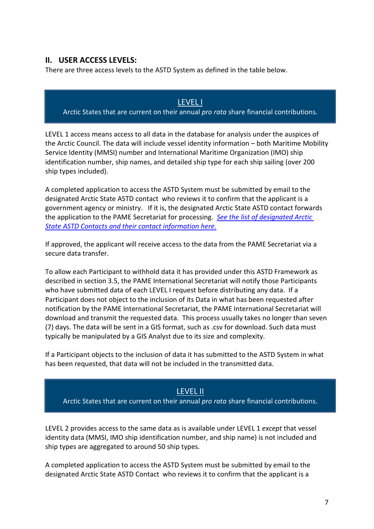#### **II. USER ACCESS LEVELS:**

There are three access levels to the ASTD System as defined in the table below.

#### LEVEL I Arctic States that are current on their annual *pro rata* share financial contributions.

LEVEL 1 access means access to all data in the database for analysis under the auspices of the Arctic Council. The data will include vessel identity information – both Maritime Mobility Service Identity (MMSI) number and International Maritime Organization (IMO) ship identification number, ship names, and detailed ship type for each ship sailing (over 200 ship types included).

A completed application to access the ASTD System must be submitted by email to the designated Arctic State ASTD contact who reviews it to confirm that the applicant is a government agency or ministry. If it is, the designated Arctic State ASTD contact forwards the application to the PAME Secretariat for processing. *[See the list of designated Arctic](https://www.pame.is/images/03_Projects/ASTD/Contacts/ASTD_expert_contacts_March_2019.pdf)  [State ASTD Contacts and their contact information here.](https://www.pame.is/images/03_Projects/ASTD/Contacts/ASTD_expert_contacts_March_2019.pdf)*

If approved, the applicant will receive access to the data from the PAME Secretariat via a secure data transfer.

To allow each Participant to withhold data it has provided under this ASTD Framework as described in section 3.5, the PAME International Secretariat will notify those Participants who have submitted data of each LEVEL I request before distributing any data. If a Participant does not object to the inclusion of its Data in what has been requested after notification by the PAME International Secretariat, the PAME International Secretariat will download and transmit the requested data. This process usually takes no longer than seven (7) days. The data will be sent in a GIS format, such as .csv for download. Such data must typically be manipulated by a GIS Analyst due to its size and complexity.

If a Participant objects to the inclusion of data it has submitted to the ASTD System in what has been requested, that data will not be included in the transmitted data.

#### LEVEL II

Arctic States that are current on their annual *pro rata* share financial contributions.

LEVEL 2 provides access to the same data as is available under LEVEL 1 *except* that vessel identity data (MMSI, IMO ship identification number, and ship name) is not included and ship types are aggregated to around 50 ship types.

A completed application to access the ASTD System must be submitted by email to the designated Arctic State ASTD Contact who reviews it to confirm that the applicant is a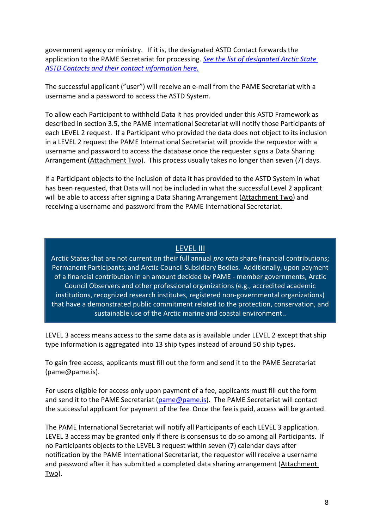government agency or ministry. If it is, the designated ASTD Contact forwards the application to the PAME Secretariat for processing. *[See the list of designated Arctic State](https://www.pame.is/images/03_Projects/ASTD/Contacts/ASTD_expert_contacts_March_2019.pdf)  [ASTD Contacts and their contact information here.](https://www.pame.is/images/03_Projects/ASTD/Contacts/ASTD_expert_contacts_March_2019.pdf)*

The successful applicant ("user") will receive an e-mail from the PAME Secretariat with a username and a password to access the ASTD System.

To allow each Participant to withhold Data it has provided under this ASTD Framework as described in section 3.5, the PAME International Secretariat will notify those Participants of each LEVEL 2 request. If a Participant who provided the data does not object to its inclusion in a LEVEL 2 request the PAME International Secretariat will provide the requestor with a username and password to access the database once the requester signs a Data Sharing Arrangement (Attachment Two). This process usually takes no longer than seven (7) days.

If a Participant objects to the inclusion of data it has provided to the ASTD System in what has been requested, that Data will not be included in what the successful Level 2 applicant will be able to access after signing a Data Sharing Arrangement (Attachment Two) and receiving a username and password from the PAME International Secretariat.

#### LEVEL III

Arctic States that are not current on their full annual *pro rata* share financial contributions; Permanent Participants; and Arctic Council Subsidiary Bodies. Additionally, upon payment of a financial contribution in an amount decided by PAME - member governments, Arctic Council Observers and other professional organizations (e.g., accredited academic institutions, recognized research institutes, registered non-governmental organizations) that have a demonstrated public commitment related to the protection, conservation, and sustainable use of the Arctic marine and coastal environment..

LEVEL 3 access means access to the same data as is available under LEVEL 2 except that ship type information is aggregated into 13 ship types instead of around 50 ship types.

To gain free access, applicants must fill out the form and send it to the PAME Secretariat (pame@pame.is).

For users eligible for access only upon payment of a fee, applicants must fill out the form and send it to the PAME Secretariat [\(pame@pame.is\)](mailto:pame@pame.is). The PAME Secretariat will contact the successful applicant for payment of the fee. Once the fee is paid, access will be granted.

The PAME International Secretariat will notify all Participants of each LEVEL 3 application. LEVEL 3 access may be granted only if there is consensus to do so among all Participants. If no Participants objects to the LEVEL 3 request within seven (7) calendar days after notification by the PAME International Secretariat, the requestor will receive a username and password after it has submitted a completed data sharing arrangement (Attachment Two).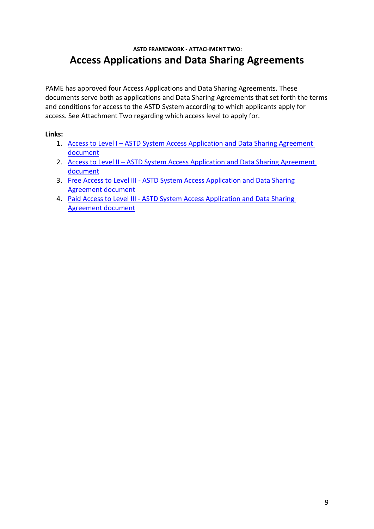### **ASTD FRAMEWORK - ATTACHMENT TWO: Access Applications and Data Sharing Agreements**

PAME has approved four Access Applications and Data Sharing Agreements. These documents serve both as applications and Data Sharing Agreements that set forth the terms and conditions for access to the ASTD System according to which applicants apply for access. See Attachment Two regarding which access level to apply for.

#### **Links:**

- 1. Access to Level I ASTD System Access Application and Data Sharing Agreement [document](https://pame.is/images/03_Projects/ASTD/Data_sharing_agreements/ASTD_-_Level_I_data_sharing_agreement.docx)
- 2. Access to Level II ASTD System Access Application and Data Sharing Agreement [document](https://pame.is/images/03_Projects/ASTD/Data_sharing_agreements/ASTD_-_Level_II_data_sharing_agreement.docx)
- 3. Free Access to Level III ASTD System Access Application and Data Sharing [Agreement document](https://pame.is/images/03_Projects/ASTD/Data_sharing_agreements/ASTD_-_Level_III_data_sharing_agreement.docx)
- 4. Paid Access to Level III [ASTD System Access Application and Data Sharing](https://pame.is/images/03_Projects/ASTD/Data_sharing_agreements/ASTD_-_Level_III_data_sharing_agreement.docx)  [Agreement document](https://pame.is/images/03_Projects/ASTD/Data_sharing_agreements/ASTD_-_Level_III_data_sharing_agreement.docx)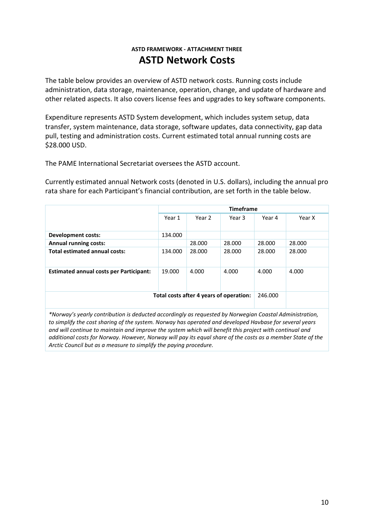#### **ASTD FRAMEWORK - ATTACHMENT THREE ASTD Network Costs**

The table below provides an overview of ASTD network costs. Running costs include administration, data storage, maintenance, operation, change, and update of hardware and other related aspects. It also covers license fees and upgrades to key software components.

Expenditure represents ASTD System development, which includes system setup, data transfer, system maintenance, data storage, software updates, data connectivity, gap data pull, testing and administration costs. Current estimated total annual running costs are \$28.000 USD.

The PAME International Secretariat oversees the ASTD account.

Currently estimated annual Network costs (denoted in U.S. dollars), including the annual pro rata share for each Participant's financial contribution, are set forth in the table below.

|                                                | <b>Timeframe</b> |        |        |         |        |
|------------------------------------------------|------------------|--------|--------|---------|--------|
|                                                | Year 1           | Year 2 | Year 3 | Year 4  | Year X |
|                                                |                  |        |        |         |        |
| Development costs:                             | 134.000          |        |        |         |        |
| <b>Annual running costs:</b>                   |                  | 28,000 | 28.000 | 28,000  | 28,000 |
| <b>Total estimated annual costs:</b>           | 134.000          | 28.000 | 28.000 | 28.000  | 28.000 |
| <b>Estimated annual costs per Participant:</b> | 19.000           | 4.000  | 4.000  | 4.000   | 4.000  |
| Total costs after 4 years of operation:        |                  |        |        | 246.000 |        |

*\*Norway's yearly contribution is deducted accordingly as requested by Norwegian Coastal Administration, to simplify the cost sharing of the system. Norway has operated and developed Havbase for several years and will continue to maintain and improve the system which will benefit this project with continual and additional costs for Norway. However, Norway will pay its equal share of the costs as a member State of the Arctic Council but as a measure to simplify the paying procedure.*